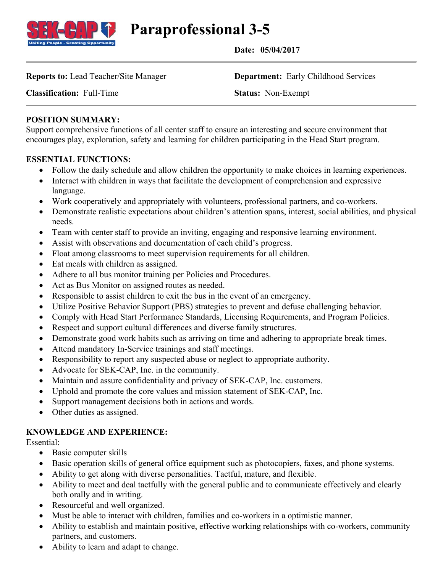

**Paraprofessional 3-5**

 **Date: 05/04/2017**

**Reports to:** Lead Teacher/Site Manager **Department:** Early Childhood Services

**Classification:** Full-Time **Status:** Non-Exempt

## **POSITION SUMMARY:**

Support comprehensive functions of all center staff to ensure an interesting and secure environment that encourages play, exploration, safety and learning for children participating in the Head Start program.

### **ESSENTIAL FUNCTIONS:**

- Follow the daily schedule and allow children the opportunity to make choices in learning experiences.
- Interact with children in ways that facilitate the development of comprehension and expressive language.
- Work cooperatively and appropriately with volunteers, professional partners, and co-workers.
- Demonstrate realistic expectations about children's attention spans, interest, social abilities, and physical needs.
- Team with center staff to provide an inviting, engaging and responsive learning environment.
- Assist with observations and documentation of each child's progress.
- Float among classrooms to meet supervision requirements for all children.
- Eat meals with children as assigned.
- Adhere to all bus monitor training per Policies and Procedures.
- Act as Bus Monitor on assigned routes as needed.
- Responsible to assist children to exit the bus in the event of an emergency.
- Utilize Positive Behavior Support (PBS) strategies to prevent and defuse challenging behavior.
- Comply with Head Start Performance Standards, Licensing Requirements, and Program Policies.
- Respect and support cultural differences and diverse family structures.
- Demonstrate good work habits such as arriving on time and adhering to appropriate break times.
- Attend mandatory In-Service trainings and staff meetings.
- Responsibility to report any suspected abuse or neglect to appropriate authority.
- Advocate for SEK-CAP, Inc. in the community.
- Maintain and assure confidentiality and privacy of SEK-CAP, Inc. customers.
- Uphold and promote the core values and mission statement of SEK-CAP, Inc.
- Support management decisions both in actions and words.
- Other duties as assigned.

### **KNOWLEDGE AND EXPERIENCE:**

#### Essential:

- Basic computer skills
- Basic operation skills of general office equipment such as photocopiers, faxes, and phone systems.
- Ability to get along with diverse personalities. Tactful, mature, and flexible.
- Ability to meet and deal tactfully with the general public and to communicate effectively and clearly both orally and in writing.
- Resourceful and well organized.
- Must be able to interact with children, families and co-workers in a optimistic manner.
- Ability to establish and maintain positive, effective working relationships with co-workers, community partners, and customers.
- Ability to learn and adapt to change.